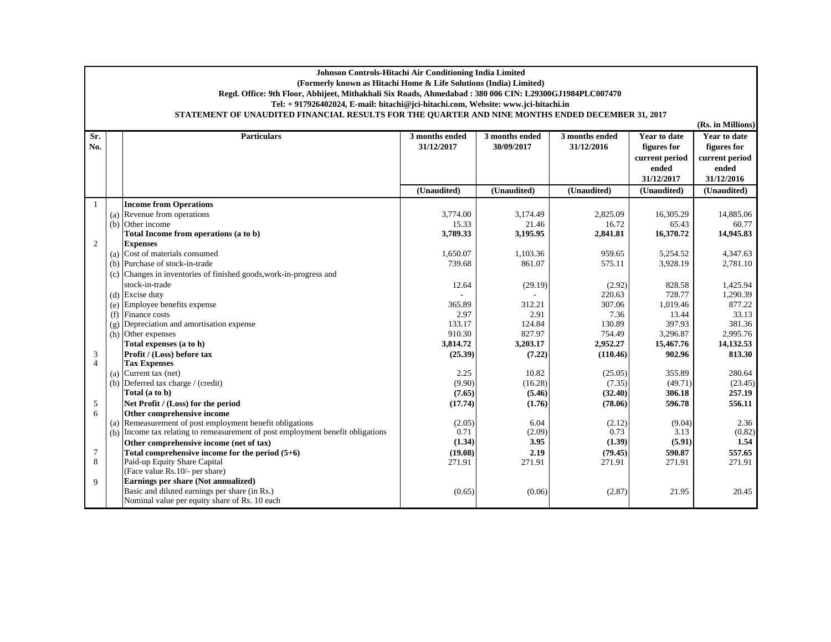## **Johnson Controls-Hitachi Air Conditioning India Limited (Formerly known as Hitachi Home & Life Solutions (India) Limited) Regd. Office: 9th Floor, Abhijeet, Mithakhali Six Roads, Ahmedabad : 380 006 CIN: L29300GJ1984PLC007470 Tel: + 917926402024, E-mail: hitachi@jci-hitachi.com, Website: www.jci-hitachi.in STATEMENT OF UNAUDITED FINANCIAL RESULTS FOR THE QUARTER AND NINE MONTHS ENDED DECEMBER 31, 2017**

**Sr. No.**

1

2

3

4

5

6

7

9

**Expenses**

(Face value Rs.10/- per share)

**Earnings per share (Not annualized)**

Nominal value per equity share of Rs. 10 each

**Particulars 3 months ended 31/12/20173 months ended 30/09/20173 months ended 31/12/2016Year to date figures for current period ended 31/12/2017Year to date figures for current period ended 31/12/2016(Unaudited) (Unaudited) (Unaudited) (Unaudited) (Unaudited) Income from Operations** (a) Revenue from operations 3,774.00 3,174.49 2,825.09 16,305.29 14,885.06 (b) Other income 21.46 15.33 16.72 15.33 16.72 15.33 16.72 16.72 16.72 16.73 16.72 16.72 16.72 16.72 16.72 16.72 16.72 16.72 16.72 16.72 16.72 16.72 16.72 16.72 16.72 16.72 16.72 16.72 16.72 16.72 16.72 16.72 16.72 16.72 1 **Total Income from operations (a to b) 3,195.95 3,789.33 2,841.81 16,370.72 14,945.83** (a) Cost of materials consumed 1,050.07  $\vert$  1,650.07  $\vert$  1,103.36  $\vert$  959.65  $\vert$  5,254.52 4,347.63 (b) Purchase of stock-in-trade 2,781.10 13,928.19 2,781.10 (c) Changes in inventories of finished goods,work-in-progress and stock-in-trade (29.19) 12.64 (2.92) 828.58 1,425.94 (d) Excise duty and the set of the contract of the contract of the contract of the contract of the contract of the contract of the contract of the contract of the contract of the contract of the contract of the contract of (e) Employee benefits expense 877.22<br>
(f) Finance costs 312.21 307.06 365.89 312.21 307.06 1,019.46 877.22<br>
33.13 (f)  $[1]$  Finance costs 2.97  $[2.91]$  2.97  $[2.91]$  2.97  $[2.91]$  7.36  $[2.33.13]$ (g) Depreciation and amortisation expense 133.17 124.84 130.89 397.93 381.36<br>
(h) Other expenses 2.995.76 381.36<br>
(h) Other expenses (h) Other expenses 827.97 1 910.30 910.30 910.30 827.97 1 754.49 3,296.87 3,296.87 3,295.76 **Total expenses (a to h)** 3,814.72 3,203.17 3,203.17 3,2052.27 15,467.76 14,132.53 **Profit / (Loss) before tax (25.39) (7.22) (110.46) 902.96 813.30 (813.30 ) Tax Expenses** (a) Current tax (net) 280.64 280.64 2.25 (25.05) 355.89 280.64 (b) Deferred tax charge / (credit) (9.90) (16.28) (7.35) (49.71) (23.45) (49.71) (23.45) (7.35) (49.71) (23.45) (7.65) (5.46) (5.46) (32.40) (32.40) (306.18 **Total (a to b) (5.46) (7.65) (32.40) 306.18 257.19 Net Profit / (Loss) for the period (17.74) (1.76) 596.78 (78.06) 556.11 Other comprehensive income** (a) Remeasurement of post employment benefit obligations (2.05)  $(2.05)$   $(6.04)$   $(2.12)$   $(9.04)$   $(9.04)$   $(9.82)$ <br>
(b) Income tax relating to remeasurement of post employment benefit obligations  $(9.71)$   $(2.09)$   $(9.$ (b) Income tax relating to remeasurement of post employment benefit obligations  $\begin{bmatrix} 0.71 \\ 1.34 \end{bmatrix}$  (2.09)  $\begin{bmatrix} 0.73 \\ 3.13 \\ 3.95 \end{bmatrix}$  (1.39)  $\begin{bmatrix} 3.13 \\ 1.34 \end{bmatrix}$  (5.91)  $\begin{bmatrix} 0.82 \\ 1.54 \end{bmatrix}$ **Other comprehensive income (net of tax) Total comprehensive income for the period (5+6)** (19.08) **2.19** (19.08) **2.19** (79.45) 590.87<br>
Paid-up Equity Share Capital 271.91

Paid-up Equity Share Capital 271.91 271.91 271.91 271.91 271.91 271.91 271.91 271.91 271.91

Basic and diluted earnings per share (in Rs.)  $(0.65)$   $(0.66)$   $(2.87)$   $(2.87)$   $21.95$   $20.45$ 

**(Rs. in Millions)**